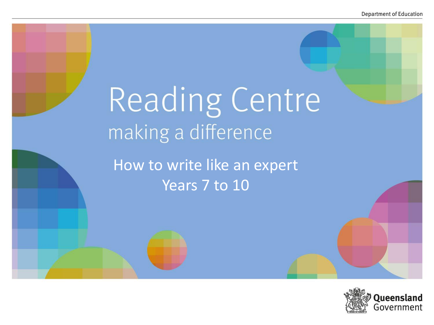# Reading Centre making a difference

How to write like an expert Years 7 to 10

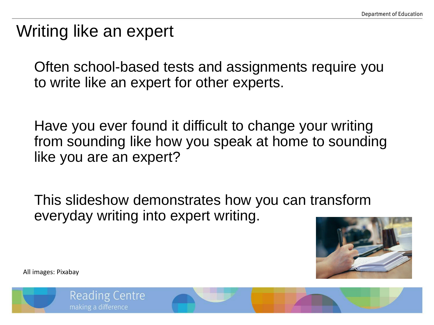# Writing like an expert

Often school-based tests and assignments require you to write like an expert for other experts.

Have you ever found it difficult to change your writing from sounding like how you speak at home to sounding like you are an expert?

This slideshow demonstrates how you can transform everyday writing into expert writing.



All images: Pixabay

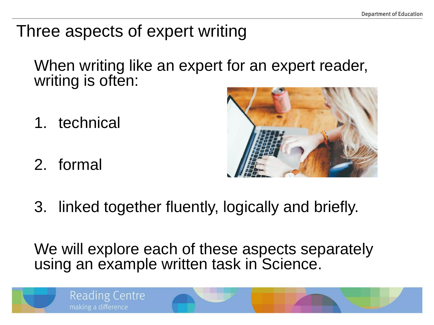## Three aspects of expert writing

When writing like an expert for an expert reader, writing is often:

- 1. technical
- 2. formal



3. linked together fluently, logically and briefly.

We will explore each of these aspects separately using an example written task in Science.

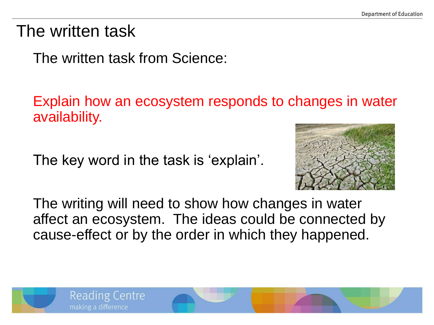## The written task

The written task from Science:

Explain how an ecosystem responds to changes in water availability.

The key word in the task is 'explain'.



The writing will need to show how changes in water affect an ecosystem. The ideas could be connected by cause-effect or by the order in which they happened.

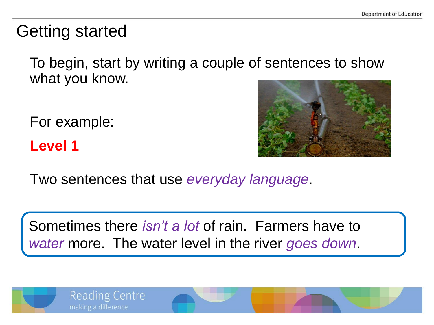# Getting started

To begin, start by writing a couple of sentences to show what you know.

For example:

**Level 1**



Two sentences that use *everyday language*.

Sometimes there *isn't a lot* of rain. Farmers have to *water* more. The water level in the river *goes down*.

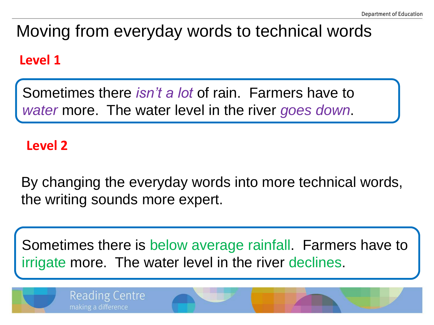# Moving from everyday words to technical words

#### **Level 1**

Sometimes there *isn't a lot* of rain. Farmers have to *water* more. The water level in the river *goes down*.

#### **Level 2**

**Reading Centre** 

making a difference

By changing the everyday words into more technical words, the writing sounds more expert.

Sometimes there is below average rainfall. Farmers have to irrigate more. The water level in the river declines.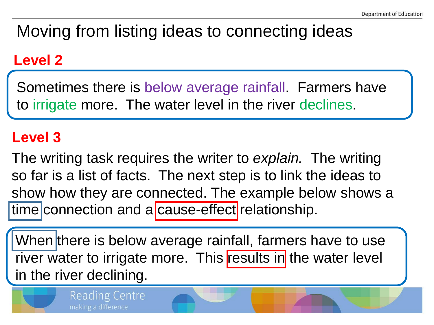# Moving from listing ideas to connecting ideas

## **Level 2**

Sometimes there is below average rainfall. Farmers have to irrigate more. The water level in the river declines.

## **Level 3**

The writing task requires the writer to *explain.* The writing so far is a list of facts. The next step is to link the ideas to show how they are connected. The example below shows a time connection and a cause-effect relationship.

When there is below average rainfall, farmers have to use river water to irrigate more. This results in the water level in the river declining.

Reading Centre

making a difference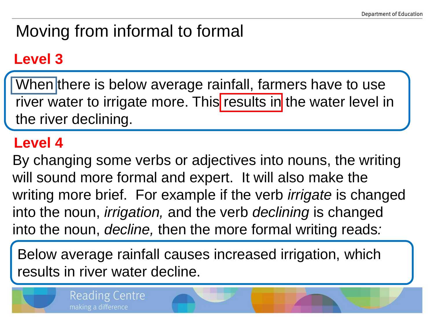# Moving from informal to formal

## **Level 3**

When there is below average rainfall, farmers have to use river water to irrigate more. This results in the water level in the river declining.

### **Level 4**

By changing some verbs or adjectives into nouns, the writing will sound more formal and expert. It will also make the writing more brief. For example if the verb *irrigate* is changed into the noun, *irrigation,* and the verb *declining* is changed into the noun, *decline,* then the more formal writing reads*:*

Below average rainfall causes increased irrigation, which results in river water decline.



**Reading Centre** 

making a difference